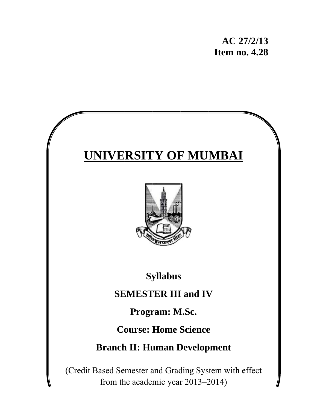# **UNIVERSITY OF MUMBAI**



**Sy yllabus**

# **Syllabus**<br> **SEMESTER III** and IV

Program: M.Sc.

**Course: Home Science** 

**Branch II: Human Development** 

(Credit Based Semester and Grading System with effect from the academic year 2013–2014)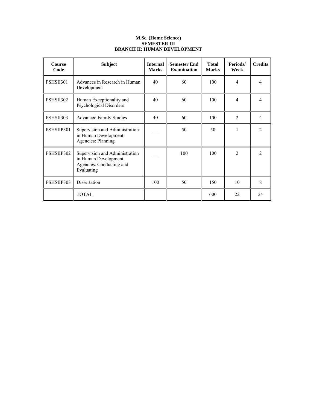# **M.Sc. (Home Science) SEMESTER III BRANCH II: HUMAN DEVELOPMENT**

| <b>Course</b><br>Code | <b>Subject</b>                                                                                   | <b>Internal</b><br><b>Marks</b> | <b>Semester End</b><br><b>Examination</b> | <b>Total</b><br><b>Marks</b> | Periods/<br>Week | <b>Credits</b> |
|-----------------------|--------------------------------------------------------------------------------------------------|---------------------------------|-------------------------------------------|------------------------------|------------------|----------------|
| PSHSII301             | Advances in Research in Human<br>Development                                                     | 40                              | 60                                        | 100                          | $\overline{4}$   | 4              |
| PSHSII302             | Human Exceptionality and<br><b>Psychological Disorders</b>                                       | 40                              | 60                                        | 100                          | 4                | 4              |
| PSHSII303             | <b>Advanced Family Studies</b>                                                                   | 40                              | 60                                        | 100                          | $\mathfrak{D}$   | 4              |
| PSHSIIP301            | Supervision and Administration<br>in Human Development<br><b>Agencies: Planning</b>              |                                 | 50                                        | 50                           | 1                | $\mathfrak{D}$ |
| PSHSIIP302            | Supervision and Administration<br>in Human Development<br>Agencies: Conducting and<br>Evaluating |                                 | 100                                       | 100                          | 2                | 2              |
| PSHSIIP303            | Dissertation                                                                                     | 100                             | 50                                        | 150                          | 10               | 8              |
|                       | <b>TOTAL</b>                                                                                     |                                 |                                           | 600                          | 22               | 24             |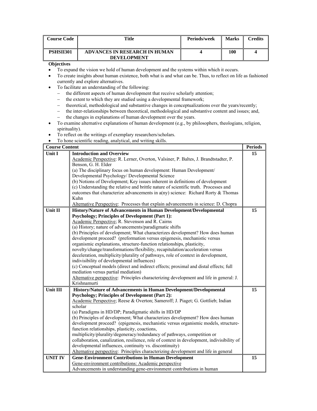| Course Code | Title                                                      | Periods/week | <b>Marks</b> | Credits |
|-------------|------------------------------------------------------------|--------------|--------------|---------|
| PSHSII301   | <b>ADVANCES IN RESEARCH IN HUMAN</b><br><b>DEVELOPMENT</b> |              | 100          |         |

- To expand the vision we hold of human development and the systems within which it occurs.
- To create insights about human existence, both what is and what can be. Thus, to reflect on life as fashioned currently and explore alternatives.
- To facilitate an understanding of the following:
	- − the different aspects of human development that receive scholarly attention;
	- − the extent to which they are studied using a developmental framework;
	- − theoretical, methodological and substantive changes in conceptualizations over the years/recently;
	- − the inter-relationships between theoretical, methodological and substantive content and issues; and,
	- − the changes in explanations of human development over the years.
- To examine alternative explanations of human development (e.g., by philosophers, theologians, religion, spirituality).
- To reflect on the writings of exemplary researchers/scholars.
- To hone scientific reading, analytical, and writing skills.

| <b>Course Content</b> |                                                                                            | <b>Periods</b> |
|-----------------------|--------------------------------------------------------------------------------------------|----------------|
| <b>Unit I</b>         | <b>Introduction and Overview</b>                                                           | 15             |
|                       | Academic Perspective: R. Lerner, Overton, Valsiner, P. Baltes, J. Brandtstadter, P.        |                |
|                       | Benson, G. H. Elder                                                                        |                |
|                       | (a) The disciplinary focus on human development: Human Development/                        |                |
|                       | Developmental Psychology/ Developmental Science                                            |                |
|                       | (b) Notions of Development; Key issues inherent in definitions of development              |                |
|                       | (c) Understanding the relative and brittle nature of scientific truth. Processes and       |                |
|                       | outcomes that characterize advancements in $a(ny)$ science: Richard Rorty & Thomas         |                |
|                       | Kuhn                                                                                       |                |
|                       | Alternative Perspective: Processes that explain advancements in science: D. Chopra         |                |
| Unit II               | History/Nature of Advancements in Human Development/Developmental                          | 15             |
|                       | <b>Psychology; Principles of Development (Part 1):</b>                                     |                |
|                       | Academic Perspective; R. Stevenson and R. Cairns                                           |                |
|                       | (a) History; nature of advancements/paradigmatic shifts                                    |                |
|                       | (b) Principles of development; What characterizes development? How does human              |                |
|                       | development proceed? (preformation versus epigenesis, mechanistic versus                   |                |
|                       | organismic explanations, structure-function relationships, plasticity,                     |                |
|                       | novelty/change/transformations/flexibility, recapitulation/acceleration versus             |                |
|                       | deceleration, multiplicity/plurality of pathways, role of context in development,          |                |
|                       | indivisibility of developmental influences)                                                |                |
|                       | (c) Conceptual models (direct and indirect effects; proximal and distal effects; full      |                |
|                       | mediation versus partial mediation)                                                        |                |
|                       | Alternative perspective: Principles characterizing development and life in general: J.     |                |
|                       | Krishnamurti                                                                               |                |
| Unit III              | History/Nature of Advancements in Human Development/Developmental                          | 15             |
|                       | <b>Psychology; Principles of Development (Part 2):</b>                                     |                |
|                       | Academic Perspective; Reese & Overton; Sameroff; J. Piaget; G. Gottlieb; Indian            |                |
|                       | scholar                                                                                    |                |
|                       | (a) Paradigms in HD/DP; Paradigmatic shifts in HD/DP                                       |                |
|                       | (b) Principles of development; What characterizes development? How does human              |                |
|                       | development proceed? (epigenesis, mechanistic versus organismic models, structure-         |                |
|                       | function relationships, plasticity, coactions,                                             |                |
|                       | multiplicity/plurality/degeneracy/redundancy of pathways, competition or                   |                |
|                       | collaboration, canalization, resilience, role of context in development, indivisibility of |                |
|                       | developmental influences, continuity vs. discontinuity)                                    |                |
|                       | Alternative perspective: Principles characterizing development and life in general         |                |
| <b>UNIT IV</b>        | <b>Gene-Environment Contributions in Human Development</b>                                 | 15             |
|                       | Gene-environment contributions: Academic perspective                                       |                |
|                       | Advancements in understanding gene-environment contributions in human                      |                |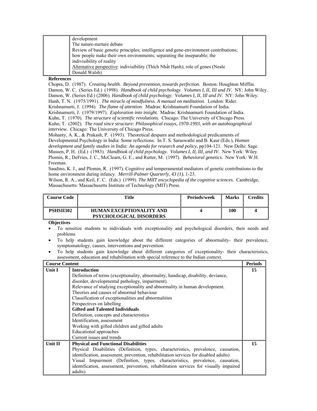| development                                                                          |  |
|--------------------------------------------------------------------------------------|--|
| The nature-nurture debate                                                            |  |
| Review of basic genetic principles; intelligence and gene-environment contributions; |  |
| how people make their own environments; separating the inseparable; the              |  |
| indivisibility of reality                                                            |  |
| Alternative perspective: indivisibility (Thich Nhất Hanh); role of genes (Neale      |  |
| Donald Walsh)                                                                        |  |

Chopra, D. (1987). *Creating health. Beyond prevention, towards perfection.* Boston: Houghton Mifflin. Damon, W. C. (Series Ed.) (1998). *Handbook of child psychology. Volumes I, II, III and IV.* NY: John Wiley. Damon, W. (Series Ed.) (2006). *Handbook of child psychology. Volumes I, II, III and IV.* NY: John Wiley. Hanh, T. N. (1975/1991). *The miracle of mindfulness. A manual on meditation.* London: Rider. Krishnamurti, J. (1994). *The flame of attention*. Madras: Krishnamurti Foundation of India. Krishnamurti, J. (1979/1997). *Exploration into insight.* Madras: Krishnamurti Foundation of India. Kuhn, T. (1970). *The structure of scientific revolutions.* Chicago: The University of Chicago Press. Kuhn, T. (2002). *The road since structure: Philosophical essays, 1970-1993, with an autobiographical interview.* Chicago: The University of Chicago Press. Mohanty, A. K., & Prakash, P. (1993). Theoretical despairs and methodological predicaments of Developmental Psychology in India: Some reflections. In T. S. Saraswathi and B. Kaur (Eds.), *Human development and family studies in India: An agenda for research and policy,* pp104-121. New Delhi: Sage.

Mussen, P. H. (Ed.) (1983). *Handbook of child psychology. Volumes I, II, III, and IV.* New York: Wiley. Plomin, R., DeFries, J. C., McClearn, G. E., and Rutter, M. (1997). *Behavioral genetics.* New York: W.H. Freeman.

Saudino, K. J., and Plomin, R. (1997). Cognitive and temperamental mediators of genetic contributions to the home environment during infancy. *Merrill-Palmer Quarterly*, *43 (1)*, 1-23.

Wilson, R. A., and Keil, F. C. (Eds.) (1999). *The MIIT encyclopedia of the cognitive sciences.* Cambridge, Massachusetts: Massachusetts Institute of Technology (MIT) Press.

| Course Code | Title                                                             | Periods/week | <b>Marks</b> | `redits |
|-------------|-------------------------------------------------------------------|--------------|--------------|---------|
| PSHSII302   | <b>HUMAN EXCEPTIONALITY AND</b><br><b>PSYCHOLOGICAL DISORDERS</b> |              | 100          |         |

- To sensitize students to individuals with exceptionality and psychological disorders, their needs and problems
- To help students gain knowledge about the different categories of abnormality- their prevalence, symptomatology, causes, interventions and prevention.
- To help students gain knowledge about different categories of exceptionality- their characteristics, assessment, education and rehabilitation with special reference to the Indian context.

| <b>Course Content</b> |                                                                                       | <b>Periods</b> |  |  |  |
|-----------------------|---------------------------------------------------------------------------------------|----------------|--|--|--|
| <b>Unit I</b>         | <b>Introduction</b>                                                                   | 15             |  |  |  |
|                       | Definition of terms (exceptionality, abnormality, handicap, disability, deviance,     |                |  |  |  |
|                       | disorder, developmental pathology, impairment).                                       |                |  |  |  |
|                       | Relevance of studying exceptionality and abnormality in human development.            |                |  |  |  |
|                       | Theories and causes of abnormal behaviour                                             |                |  |  |  |
|                       | Classification of exceptionalities and abnormalities                                  |                |  |  |  |
|                       | Perspectives on labelling                                                             |                |  |  |  |
|                       | <b>Gifted and Talented Individuals</b>                                                |                |  |  |  |
|                       | Definition, concepts and characteristics                                              |                |  |  |  |
|                       | Identification, assessment                                                            |                |  |  |  |
|                       | Working with gifted children and gifted adults                                        |                |  |  |  |
|                       | Educational approaches                                                                |                |  |  |  |
|                       | Current issues and trends                                                             |                |  |  |  |
| <b>Unit II</b>        | <b>Physical and Functional Disabilities</b>                                           | 15             |  |  |  |
|                       | Physical Disabilities (Definition, types, characteristics, prevalence, causation,     |                |  |  |  |
|                       | identification, assessment, prevention, rehabilitation services for disabled adults)  |                |  |  |  |
|                       | Visual Impairment (Definition, types, characteristics, prevalence, causation,         |                |  |  |  |
|                       | identification, assessment, prevention, rehabilitation services for visually impaired |                |  |  |  |
|                       | adults)                                                                               |                |  |  |  |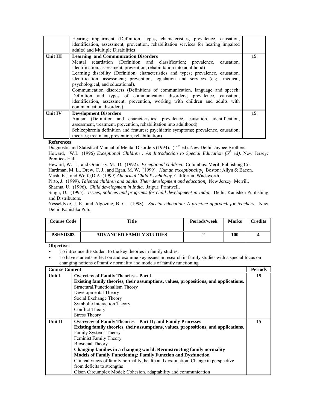|                | Hearing impairment (Definition, types, characteristics, prevalence, causation,<br>identification, assessment, prevention, rehabilitation services for hearing impaired<br>adults) and Multiple Disabilities                                                                                                                                                                                                                                                                                                                                                                                                                                                                             |    |
|----------------|-----------------------------------------------------------------------------------------------------------------------------------------------------------------------------------------------------------------------------------------------------------------------------------------------------------------------------------------------------------------------------------------------------------------------------------------------------------------------------------------------------------------------------------------------------------------------------------------------------------------------------------------------------------------------------------------|----|
| Unit III       | <b>Learning and Communication Disorders</b><br>Mental retardation (Definition and classification; prevalence, causation,<br>identification, assessment, prevention, rehabilitation into adulthood)<br>Learning disability (Definition, characteristics and types; prevalence, causation,<br>identification, assessment; prevention, legislation and services (e.g., medical,<br>psychological, and educational).<br>Communication disorders (Definitions of communication, language and speech;<br>Definition and types of communication disorders; prevalence, causation,<br>identification, assessment; prevention, working with children and adults with<br>communication disorders) | 15 |
| <b>Unit IV</b> | <b>Development Disorders</b><br>Autism (Definition and characteristics; prevalence, causation, identification,<br>assessment, treatment, prevention, rehabilitation into adulthood)<br>Schizophrenia definition and features; psychiatric symptoms; prevalence, causation;<br>theories; treatment, prevention, rehabilitation)                                                                                                                                                                                                                                                                                                                                                          | 15 |

Diagnostic and Statistical Manual of Mental Disorders (1994). (4<sup>th</sup> ed). New Delhi: Jaypee Brothers.

Heward, W.L. (1996) *Exceptional Children : An Introduction to Special Education (5th ed)*. New Jersey: Prentice- Hall.

Heward, W. L., and Orlansky, M. .D. (1992). *Exceptional children*. Columbus: Merill Publishing Co.

Hardman, M. L., Drew, C. J., and Egan, M. W. (1999). *Human exceptionality*. Boston: Allyn & Bacon.

Mash, E.J. and Wolfe,D.A. (1999) *Abnormal Child Psychology*. California. Wadsworth.

Pirto, J. (1999). *Talented children and adults. Their development and education*. New Jersey: Merrill.

Sharma, U. (1996). *Child development in India*. Jaipur: Printwell.

Singh, D. (1995). *Issues, policies and programs for child development in India*. Delhi: Kanishka Publishing and Distributors.

Yesseldyke, J. E., and Algozine, B. C. (1998). *Special education: A practice approach for teachers.* New Delhi: Kanishka Pub.

| <b>Course Code</b> | <b>Title</b>                   | <b>Periods/week</b> | <b>Marks</b> | Credits |
|--------------------|--------------------------------|---------------------|--------------|---------|
| PSHSII303          | <b>ADVANCED FAMILY STUDIES</b> |                     | 100          |         |

# **Objectives**

• To introduce the student to the key theories in family studies.

<sup>•</sup> To have students reflect on and examine key issues in research in family studies with a special focus on changing notions of family normality and models of family functioning

| <b>Course Content</b> |                                                                                      | <b>Periods</b> |
|-----------------------|--------------------------------------------------------------------------------------|----------------|
| Unit I                | <b>Overview of Family Theories - Part I</b>                                          | 15             |
|                       | Existing family theories, their assumptions, values, propositions, and applications. |                |
|                       | Structural/Functionalism Theory                                                      |                |
|                       | Developmental Theory                                                                 |                |
|                       | Social Exchange Theory                                                               |                |
|                       | Symbolic Interaction Theory                                                          |                |
|                       | <b>Conflict Theory</b>                                                               |                |
|                       | <b>Stress Theory</b>                                                                 |                |
| Unit II               | <b>Overview of Family Theories - Part II; and Family Processes</b>                   | 15             |
|                       | Existing family theories, their assumptions, values, propositions, and applications. |                |
|                       | Family Systems Theory                                                                |                |
|                       | Feminist Family Theory                                                               |                |
|                       | Biosocial Theory                                                                     |                |
|                       | Changing families in a changing world: Reconstructing family normality               |                |
|                       | <b>Models of Family Functioning: Family Function and Dysfunction</b>                 |                |
|                       | Clinical views of family normality, health and dysfunction: Change in perspective    |                |
|                       | from deficits to strengths                                                           |                |
|                       | Olson Circumplex Model: Cohesion, adaptability and communication                     |                |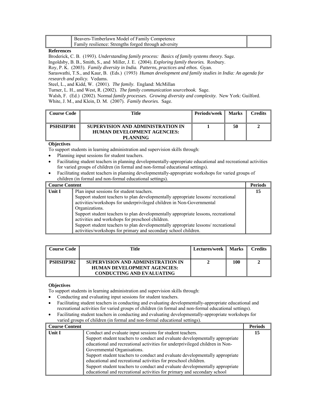| Beavers-Timberlawn Model of Family Competence                   |  |
|-----------------------------------------------------------------|--|
| <b>If</b> Family resilience: Strengths forged through adversity |  |

Broderick, C. B. (1993). *Understanding family process: Basics of family systems theory.* Sage.

Ingoldsby, B. B., Smith, S., and Miller, J. E. (2004). *Exploring family theories.* Roxbury.

Roy, P. K. (2003). *Family diversity in India. Patterns, practices and ethos.* Gyan.

Saraswathi, T.S., and Kaur, B. (Eds.) (1993) *Human development and family studies in India: An agenda for research and policy.* Vedams*.* 

Steel, L., and Kidd, W. (2001). *The family*. England: McMillan

Turner, L. H., and West, R. (2002). *The family communication sourcebook.* Sage.

Walsh, F. (Ed.) (2002). Normal *family processes. Growing diversity and complexity.* New York: Guilford. White, J. M., and Klein, D. M. (2007). *Family theories.* Sage.

| <b>Course Code</b> | Title                                                                                      | Periods/week | <b>Marks</b> | Credits |
|--------------------|--------------------------------------------------------------------------------------------|--------------|--------------|---------|
| PSHSIIP301         | SUPERVISION AND ADMINISTRATION IN<br><b>HUMAN DEVELOPMENT AGENCIES:</b><br><b>PLANNING</b> |              | 50           |         |

# **Objectives**

To support students in learning administration and supervision skills through:

- Planning input sessions for student teachers.
- Facilitating student teachers in planning developmentally-appropriate educational and recreational activities for varied groups of children (in formal and non-formal educational settings).
- Facilitating student teachers in planning developmentally-appropriate workshops for varied groups of children (in formal and non-formal educational settings).

| <b>Course Content</b> |                                                                                    | <b>Periods</b> |
|-----------------------|------------------------------------------------------------------------------------|----------------|
| Unit I                | Plan input sessions for student teachers.                                          | 15             |
|                       | Support student teachers to plan developmentally appropriate lessons/ recreational |                |
|                       | activities/workshops for underprivileged children in Non-Governmental              |                |
|                       | Organizations.                                                                     |                |
|                       | Support student teachers to plan developmentally appropriate lessons, recreational |                |
|                       | activities and workshops for preschool children.                                   |                |
|                       | Support student teachers to plan developmentally appropriate lessons/ recreational |                |
|                       | activities/workshops for primary and secondary school children.                    |                |

| <b>Course Code</b> | Title                                                                                                       | Lectures/week    Marks |     | <b>Credits</b> |
|--------------------|-------------------------------------------------------------------------------------------------------------|------------------------|-----|----------------|
| PSHSIIP302         | SUPERVISION AND ADMINISTRATION IN<br><b>HUMAN DEVELOPMENT AGENCIES:</b><br><b>CONDUCTING AND EVALUATING</b> |                        | 100 |                |

# **Objectives**

To support students in learning administration and supervision skills through:

- Conducting and evaluating input sessions for student teachers.
- Facilitating student teachers in conducting and evaluating developmentally-appropriate educational and recreational activities for varied groups of children (in formal and non-formal educational settings).
- Facilitating student teachers in conducting and evaluating developmentally-appropriate workshops for varied groups of children (in formal and non-formal educational settings).

| <b>Course Content</b> |                                                                              | <b>Periods</b> |
|-----------------------|------------------------------------------------------------------------------|----------------|
| Unit I                | Conduct and evaluate input sessions for student teachers.                    | 15             |
|                       | Support student teachers to conduct and evaluate developmentally appropriate |                |
|                       | educational and recreational activities for underprivileged children in Non- |                |
|                       | Governmental Organisations.                                                  |                |
|                       | Support student teachers to conduct and evaluate developmentally appropriate |                |
|                       | educational and recreational activities for preschool children.              |                |
|                       | Support student teachers to conduct and evaluate developmentally appropriate |                |
|                       | educational and recreational activities for primary and secondary school     |                |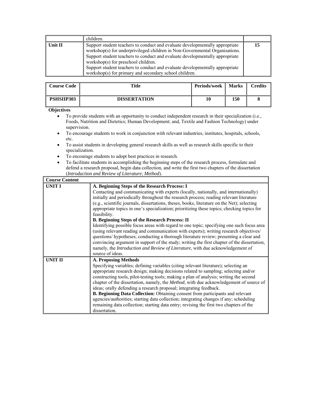|            | children.                                                                                                                                                                                                                                                                                                                                                                                                                    |    |
|------------|------------------------------------------------------------------------------------------------------------------------------------------------------------------------------------------------------------------------------------------------------------------------------------------------------------------------------------------------------------------------------------------------------------------------------|----|
| Unit $\Pi$ | Support student teachers to conduct and evaluate developmentally appropriate<br>workshop(s) for underprivileged children in Non-Governmental Organisations.<br>Support student teachers to conduct and evaluate developmentally appropriate<br>workshop(s) for preschool children.<br>Support student teachers to conduct and evaluate developmentally appropriate<br>workshop(s) for primary and secondary school children. | 15 |

| <b>Course Code</b> | Title               | Periods/week | <b>Marks</b> | <b>Credits</b> |
|--------------------|---------------------|--------------|--------------|----------------|
| <b>PSHSIIP303</b>  | <b>DISSERTATION</b> | 10           | 150          |                |

- To provide students with an opportunity to conduct independent research in their specialization (i.e., Foods, Nutrition and Dietetics; Human Development; and, Textile and Fashion Technology) under supervision.
- To encourage students to work in conjunction with relevant industries, institutes, hospitals, schools, etc.
- To assist students in developing general research skills as well as research skills specific to their specialization.
- To encourage students to adopt best practices in research.
- To facilitate students in accomplishing the beginning steps of the research process, formulate and defend a research proposal, begin data collection, and write the first two chapters of the dissertation (*Introduction and Review of Literature*; *Method*).

| <b>Course Content</b> |                                                                                                                                                                                                                                                                                                                                                                                                                                                                                                                                                                                                                                                                                                                                                                                                                                                                                                                                                                                             |
|-----------------------|---------------------------------------------------------------------------------------------------------------------------------------------------------------------------------------------------------------------------------------------------------------------------------------------------------------------------------------------------------------------------------------------------------------------------------------------------------------------------------------------------------------------------------------------------------------------------------------------------------------------------------------------------------------------------------------------------------------------------------------------------------------------------------------------------------------------------------------------------------------------------------------------------------------------------------------------------------------------------------------------|
| <b>UNIT I</b>         | A. Beginning Steps of the Research Process: I<br>Contacting and communicating with experts (locally, nationally, and internationally)<br>initially and periodically throughout the research process; reading relevant literature<br>(e.g., scientific journals, dissertations, theses, books, literature on the Net); selecting<br>appropriate topics in one's specialization; prioritizing these topics; checking topics for<br>feasibility.<br><b>B. Beginning Steps of the Research Process: II</b><br>Identifying possible focus areas with regard to one topic; specifying one such focus area<br>(using relevant reading and communication with experts); writing research objectives/<br>questions/ hypotheses; conducting a thorough literature review; presenting a clear and<br>convincing argument in support of the study; writing the first chapter of the dissertation,<br>namely, the Introduction and Review of Literature, with due acknowledgement of<br>source of ideas. |
| UNIT II               | <b>A. Proposing Methods</b><br>Specifying variables; defining variables (citing relevant literature); selecting an<br>appropriate research design; making decisions related to sampling; selecting and/or<br>constructing tools, pilot-testing tools; making a plan of analysis; writing the second<br>chapter of the dissertation, namely, the <i>Method</i> , with due acknowledgement of source of<br>ideas; orally defending a research proposal; integrating feedback.<br><b>B. Beginning Data Collection:</b> Obtaining consent from participants and relevant<br>agencies/authorities; starting data collection; integrating changes if any; scheduling<br>remaining data collection; starting data entry; revising the first two chapters of the<br>dissertation.                                                                                                                                                                                                                   |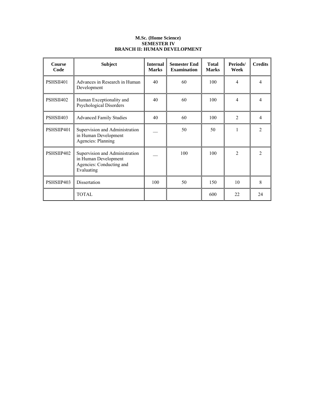# **M.Sc. (Home Science) SEMESTER IV BRANCH II: HUMAN DEVELOPMENT**

| <b>Course</b><br>Code | <b>Subject</b>                                                                                   | <b>Internal</b><br><b>Marks</b> | <b>Semester End</b><br><b>Examination</b> | <b>Total</b><br><b>Marks</b> | Periods/<br>Week | <b>Credits</b> |
|-----------------------|--------------------------------------------------------------------------------------------------|---------------------------------|-------------------------------------------|------------------------------|------------------|----------------|
| PSHSII401             | Advances in Research in Human<br>Development                                                     | 40                              | 60                                        | 100                          | $\overline{4}$   | 4              |
| PSHSII402             | Human Exceptionality and<br>Psychological Disorders                                              | 40                              | 60                                        | 100                          | 4                | 4              |
| PSHSII403             | <b>Advanced Family Studies</b>                                                                   | 40                              | 60                                        | 100                          | $\mathfrak{D}$   | 4              |
| PSHSIIP401            | Supervision and Administration<br>in Human Development<br><b>Agencies: Planning</b>              |                                 | 50                                        | 50                           | 1                | $\mathfrak{D}$ |
| PSHSIIP402            | Supervision and Administration<br>in Human Development<br>Agencies: Conducting and<br>Evaluating |                                 | 100                                       | 100                          | 2                | 2              |
| PSHSIIP403            | Dissertation                                                                                     | 100                             | 50                                        | 150                          | 10               | 8              |
|                       | <b>TOTAL</b>                                                                                     |                                 |                                           | 600                          | 22.              | 24             |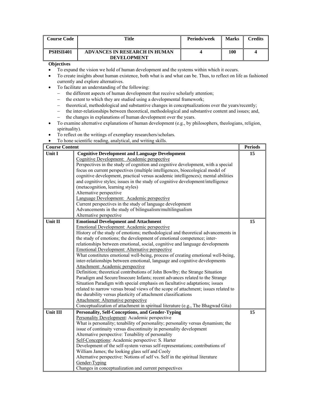| <b>Course Code</b> | Title                                               | Periods/week | <b>Marks</b> | Credits |
|--------------------|-----------------------------------------------------|--------------|--------------|---------|
| PSHSII401          | ADVANCES IN RESEARCH IN HUMAN<br><b>DEVELOPMENT</b> |              | 100          |         |

- To expand the vision we hold of human development and the systems within which it occurs.
- To create insights about human existence, both what is and what can be. Thus, to reflect on life as fashioned currently and explore alternatives.
- To facilitate an understanding of the following:
	- − the different aspects of human development that receive scholarly attention;
	- − the extent to which they are studied using a developmental framework;
	- − theoretical, methodological and substantive changes in conceptualizations over the years/recently;
	- − the inter-relationships between theoretical, methodological and substantive content and issues; and,
	- − the changes in explanations of human development over the years.
- To examine alternative explanations of human development (e.g., by philosophers, theologians, religion, spirituality).
- To reflect on the writings of exemplary researchers/scholars.
- To hone scientific reading, analytical, and writing skills.

| <b>Course Content</b> |                                                                                    | <b>Periods</b> |
|-----------------------|------------------------------------------------------------------------------------|----------------|
| Unit I                | <b>Cognitive Development and Language Development</b>                              | 15             |
|                       | Cognitive Development: Academic perspective                                        |                |
|                       | Perspectives in the study of cognition and cognitive development, with a special   |                |
|                       | focus on current perspectives (multiple intelligences, bioecological model of      |                |
|                       | cognitive development, practical versus academic intelligences); mental abilities  |                |
|                       | and cognitive styles; issues in the study of cognitive development/intelligence    |                |
|                       | (metacognition, learning styles)                                                   |                |
|                       | Alternative perspective                                                            |                |
|                       | Language Development: Academic perspective                                         |                |
|                       | Current perspectives in the study of language development                          |                |
|                       | Advancements in the study of bilingualism/multilingualism                          |                |
|                       | Alternative perspective                                                            |                |
| Unit II               | <b>Emotional Development and Attachment</b>                                        | 15             |
|                       | Emotional Development: Academic perspective                                        |                |
|                       | History of the study of emotions; methodological and theoretical advancements in   |                |
|                       | the study of emotions; the development of emotional competence; inter-             |                |
|                       | relationships between emotional, social, cognitive and language developments       |                |
|                       | <b>Emotional Development: Alternative perspective</b>                              |                |
|                       | What constitutes emotional well-being, process of creating emotional well-being,   |                |
|                       | inter-relationships between emotional, language and cognitive developments         |                |
|                       | Attachment: Academic perspective                                                   |                |
|                       | Definition; theoretical contributions of John Bowlby; the Strange Situation        |                |
|                       | Paradigm and Secure/Insecure Infants; recent advances related to the Strange       |                |
|                       | Situation Paradigm with special emphasis on facultative adaptations; issues        |                |
|                       | related to narrow versus broad views of the scope of attachment; issues related to |                |
|                       | the durability versus plasticity of attachment classifications                     |                |
|                       | Attachment: Alternative perspective                                                |                |
|                       | Conceptualization of attachment in spiritual literature (e.g., The Bhagwad Gita)   |                |
| Unit III              | <b>Personality, Self-Conceptions, and Gender-Typing</b>                            | 15             |
|                       | Personality Development: Academic perspective                                      |                |
|                       | What is personality; tenability of personality; personality versus dynamism; the   |                |
|                       | issue of continuity versus discontinuity in personality development                |                |
|                       | Alternative perspective: Tenability of personality                                 |                |
|                       | Self-Conceptions: Academic perspective: S. Harter                                  |                |
|                       | Development of the self-system versus self-representations; contributions of       |                |
|                       | William James; the looking glass self and Cooly                                    |                |
|                       | Alternative perspective: Notions of self vs. Self in the spiritual literature      |                |
|                       | Gender-Typing                                                                      |                |
|                       | Changes in conceptualization and current perspectives                              |                |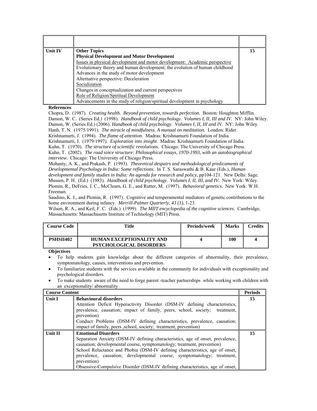| <b>Unit IV</b> | <b>Other Topics</b>                                                         | 15 |
|----------------|-----------------------------------------------------------------------------|----|
|                | <b>Physical Development and Motor Development</b>                           |    |
|                | Issues in physical development and motor development: Academic perspective  |    |
|                | Evolutionary theory and human development; the evolution of human childhood |    |
|                | Advances in the study of motor development                                  |    |
|                | Alternative perspective: Deceleration                                       |    |
|                | Socialization                                                               |    |
|                | Changes in conceptualization and current perspectives                       |    |
|                | Role of Religion/Spiritual Development                                      |    |
|                | Advancements in the study of religion/spiritual development in psychology   |    |

Chopra, D. (1987). *Creating health. Beyond prevention, towards perfection.* Boston: Houghton Mifflin. Damon, W. C. (Series Ed.) (1998). *Handbook of child psychology. Volumes I, II, III and IV.* NY: John Wiley. Damon, W. (Series Ed.) (2006). *Handbook of child psychology. Volumes I, II, III and IV.* NY: John Wiley. Hanh, T. N. (1975/1991). *The miracle of mindfulness. A manual on meditation.* London: Rider. Krishnamurti, J. (1994). *The flame of attention*. Madras: Krishnamurti Foundation of India. Krishnamurti, J. (1979/1997). *Exploration into insight.* Madras: Krishnamurti Foundation of India. Kuhn, T. (1970). *The structure of scientific revolutions.* Chicago: The University of Chicago Press. Kuhn, T. (2002). *The road since structure: Philosophical essays, 1970-1993, with an autobiographical interview.* Chicago: The University of Chicago Press.

Mohanty, A. K., and Prakash, P. (1993). *Theoretical despairs and methodological predicaments of Developmental Psychology in India: Some reflections*. In T. S. Saraswathi & B. Kaur (Eds.), *Human development and family studies in India: An agenda for research and policy,* pp104-121. New Delhi: Sage. Mussen, P. H. (Ed.) (1983). *Handbook of child psychology. Volumes I, II, III, and IV.* New York: Wiley. Plomin, R., DeFries, J. C., McClearn, G. E., and Rutter, M. (1997). *Behavioral genetics.* New York: W.H. Freeman.

Saudino, K. J., and Plomin, R. (1997). Cognitive and temperamental mediators of genetic contributions to the home environment during infancy. *Merrill-Palmer Quarterly*, *43 (1)*, 1-23.

Wilson, R. A., and Keil, F. C. (Eds.) (1999). *The MIIT encyclopedia of the cognitive sciences.* Cambridge, Massachusetts: Massachusetts Institute of Technology (MIT) Press.

| Course Code | Title                                                             | Periods/week | <b>Marks</b> | Credits |
|-------------|-------------------------------------------------------------------|--------------|--------------|---------|
| PSHSII402   | <b>HUMAN EXCEPTIONALITY AND</b><br><b>PSYCHOLOGICAL DISORDERS</b> |              | 100          |         |

- To help students gain knowledge about the different categories of abnormality, their prevalence, symptomatology, causes, interventions and prevention.
- To familiarize students with the services available in the community for individuals with exceptionality and psychological disorders.
- To make students aware of the need to forge parent -teacher partnerships while working with children with an exceptionality/ abnormality

| <b>Course Content</b> |                                                                                                                                                                                                                                                                                                                      | <b>Periods</b> |
|-----------------------|----------------------------------------------------------------------------------------------------------------------------------------------------------------------------------------------------------------------------------------------------------------------------------------------------------------------|----------------|
| <b>Unit I</b>         | <b>Behavioural disorders</b>                                                                                                                                                                                                                                                                                         | 15             |
|                       | Attention Deficit Hyperactivity Disorder (DSM-IV defining characteristics,<br>prevalence, causation; impact of family, peers, school, society; treatment,<br>prevention)                                                                                                                                             |                |
|                       | Conduct Problems (DSM-IV defining characteristics, prevalence, causation;                                                                                                                                                                                                                                            |                |
|                       | impact of family, peers , school, society; treatment, prevention)                                                                                                                                                                                                                                                    |                |
| <b>Unit II</b>        | <b>Emotional Disorders</b>                                                                                                                                                                                                                                                                                           | 15             |
|                       | Separation Anxiety (DSM-IV defining characteristics, age of onset, prevalence,<br>causation; developmental course, symptomatology; treatment, prevention)<br>School Reluctance and Phobia (DSM-IV defining characteristics, age of onset,<br>prevalence, causation; developmental course, symptomatology; treatment, |                |
|                       | prevention)<br>Obsessive-Compulsive Disorder (DSM-IV defining characteristics, age of onset,                                                                                                                                                                                                                         |                |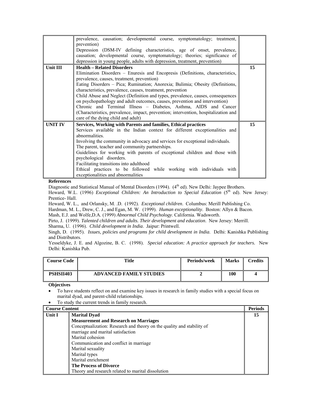|                | prevalence, causation; developmental course, symptomatology; treatment,<br>prevention)<br>Depression (DSM-IV defining characteristics, age of onset, prevalence,<br>causation; developmental course, symptomatology; theories; significance of<br>depression in young people, adults with depression, treatment, prevention)                                                                                                                                                                                                                                                                                                                                                        |    |
|----------------|-------------------------------------------------------------------------------------------------------------------------------------------------------------------------------------------------------------------------------------------------------------------------------------------------------------------------------------------------------------------------------------------------------------------------------------------------------------------------------------------------------------------------------------------------------------------------------------------------------------------------------------------------------------------------------------|----|
| Unit III       | <b>Health - Related Disorders</b><br>Elimination Disorders - Enuresis and Encopresis (Definitions, characteristics,<br>prevalence, causes, treatment, prevention)<br>Eating Disorders – Pica; Rumination; Anorexia; Bulimia; Obesity (Definitions,<br>characteristics, prevalence, causes, treatment, prevention<br>Child Abuse and Neglect (Definition and types, prevalence, causes, consequences<br>on psychopathology and adult outcomes, causes, prevention and intervention)<br>Chronic and Terminal Illness – Diabetes, Asthma, AIDS and Cancer<br>(Characteristics, prevalence, impact, prevention; intervention, hospitalization and<br>care of the dying child and adult) | 15 |
| <b>UNIT IV</b> | Services, Working with Parents and families, Ethical practices<br>Services available in the Indian context for different exceptionalities and<br>abnormalities<br>Involving the community in advocacy and services for exceptional individuals.<br>The parent, teacher and community partnerships.<br>Guidelines for working with parents of exceptional children and those with<br>psychological disorders.<br>Facilitating transitions into adulthood<br>Ethical practices to be followed while working with individuals with<br>exceptionalities and abnormalities                                                                                                               | 15 |

Diagnostic and Statistical Manual of Mental Disorders (1994). (4<sup>th</sup> ed). New Delhi: Jaypee Brothers.

Heward, W.L. (1996) *Exceptional Children: An Introduction to Special Education* (5<sup>th</sup> ed). New Jersey: Prentice- Hall.

Heward, W. L., and Orlansky, M. .D. (1992). *Exceptional children*. Columbus: Merill Publishing Co.

Hardman, M. L., Drew, C. J., and Egan, M. W. (1999). *Human exceptionality*. Boston: Allyn & Bacon.

Mash, E.J. and Wolfe,D.A. (1999) *Abnormal Child Psychology*. California. Wadsworth.

Pirto, J. (1999). *Talented children and adults. Their development and education*. New Jersey: Merrill.

Sharma, U. (1996). *Child development in India*. Jaipur: Printwell.

Singh, D. (1995). *Issues, policies and programs for child development in India*. Delhi: Kanishka Publishing and Distributors.

Yesseldyke, J. E. and Algozine, B. C. (1998). *Special education: A practice approach for teachers.* New Delhi: Kanishka Pub.

| <b>Course Code</b> | Title                          | Periods/week | <b>Marks</b> | <b>Tredits</b> |
|--------------------|--------------------------------|--------------|--------------|----------------|
| PSHSII403          | <b>ADVANCED FAMILY STUDIES</b> |              | 100          |                |

- To have students reflect on and examine key issues in research in family studies with a special focus on marital dyad, and parent-child relationships.
- To study the current trends in family research.

| <b>Course Content</b> |                                                                        | <b>Periods</b> |
|-----------------------|------------------------------------------------------------------------|----------------|
| Unit I                | <b>Marital Dyad</b>                                                    | 15             |
|                       | <b>Measurement and Research on Marriages</b>                           |                |
|                       | Conceptualization: Research and theory on the quality and stability of |                |
|                       | marriage and marital satisfaction                                      |                |
|                       | Marital cohesion                                                       |                |
|                       | Communication and conflict in marriage                                 |                |
|                       | Marital sexuality                                                      |                |
|                       | Marital types                                                          |                |
|                       | Marital enrichment                                                     |                |
|                       | <b>The Process of Divorce</b>                                          |                |
|                       | Theory and research related to marital dissolution                     |                |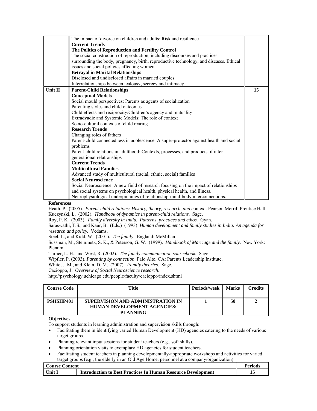|         | The impact of divorce on children and adults: Risk and resilience                                              |    |
|---------|----------------------------------------------------------------------------------------------------------------|----|
|         | <b>Current Trends</b>                                                                                          |    |
|         | The Politics of Reproduction and Fertility Control                                                             |    |
|         | The social construction of reproduction, including discourses and practices                                    |    |
|         | surrounding the body, pregnancy, birth, reproductive technology, and diseases. Ethical                         |    |
|         | issues and social policies affecting women.                                                                    |    |
|         | <b>Betrayal in Marital Relationships</b>                                                                       |    |
|         | Disclosed and undisclosed affairs in married couples                                                           |    |
|         | Interrelationships between jealousy, secrecy and intimacy                                                      |    |
| Unit II | <b>Parent-Child Relationships</b>                                                                              | 15 |
|         | <b>Conceptual Models</b>                                                                                       |    |
|         | Social mould perspectives: Parents as agents of socialization                                                  |    |
|         | Parenting styles and child outcomes                                                                            |    |
|         | Child effects and reciprocity/Children's agency and mutuality                                                  |    |
|         | Extradyadic and Systemic Models: The role of context                                                           |    |
|         | Socio-cultural contexts of child rearing                                                                       |    |
|         | <b>Research Trends</b>                                                                                         |    |
|         | Changing roles of fathers                                                                                      |    |
|         | Parent-child connectedness in adolescence: A super-protector against health and social<br>problems             |    |
|         | Parent-child relations in adulthood: Contexts, processes, and products of inter-<br>generational relationships |    |
|         | <b>Current Trends</b>                                                                                          |    |
|         | <b>Multicultural Families</b>                                                                                  |    |
|         | Advanced study of multicultural (racial, ethnic, social) families                                              |    |
|         | <b>Social Neuroscience</b>                                                                                     |    |
|         | Social Neuroscience: A new field of research focusing on the impact of relationships                           |    |
|         | and social systems on psychological health, physical health, and illness.                                      |    |
|         | Neurophysiological underpinnings of relationship-mind-body interconnections.                                   |    |

Heath, P. (2005). *Parent-child relations: History, theory, research, and c*ontext. Pearson Merrill Prentice Hall. Kuczynski, L. (2002). *Handbook of dynamics in parent-child relations.* Sage.

Roy, P. K. (2003). *Family diversity in India. Patterns, practices and ethos.* Gyan.

Saraswathi, T.S., and Kaur, B. (Eds.) (1993) *Human development and family studies in India: An agenda for research and policy.* Vedams*.* 

Steel, L., and Kidd, W. (2001). *The family*. England: McMillan

Sussman, M., Steinmetz, S. K., & Peterson, G. W. (1999). *Handbook of Marriage and the family*. New York: Plenum.

Turner, L. H., and West, R. (2002). *The family communication sourcebook.* Sage.

Wipfler, P. (2003). *Parenting by connection*. Palo Alto, CA: Parents Leadership Institute.

White, J. M., and Klein, D. M. (2007). *Family theories.* Sage.

Cacioppo, J. *Overview of Social Neuroscience research*.

http://psychology.uchicago.edu/people/faculty/cacioppo/index.shtml

| Course Code - | Title                                                                                      | <b>Periods/week</b> | <b>Marks</b> | Credits |
|---------------|--------------------------------------------------------------------------------------------|---------------------|--------------|---------|
| PSHSIIP401    | SUPERVISION AND ADMINISTRATION IN<br><b>HUMAN DEVELOPMENT AGENCIES:</b><br><b>PLANNING</b> |                     | 50           |         |

#### **Objectives**

To support students in learning administration and supervision skills through:

- Facilitating them in identifying varied Human Development (HD) agencies catering to the needs of various target groups.
- Planning relevant input sessions for student teachers (e.g., soft skills).
- Planning orientation visits to exemplary HD agencies for student teachers.
- Facilitating student teachers in planning developmentally-appropriate workshops and activities for varied target groups (e.g., the elderly in an Old Age Home, personnel at a company/organization).

| <b>Course Content</b> |                                                                     | Periods |
|-----------------------|---------------------------------------------------------------------|---------|
| Unit.                 | <b>Introduction to Best Practices In Human Resource Development</b> |         |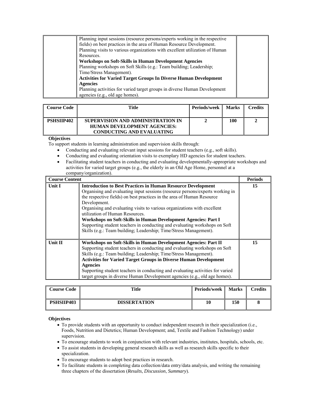| Planning input sessions (resource persons/experts working in the respective  |  |
|------------------------------------------------------------------------------|--|
| fields) on best practices in the area of Human Resource Development.         |  |
| Planning visits to various organizations with excellent utilization of Human |  |
| Resources.                                                                   |  |
| Workshops on Soft-Skills in Human Development Agencies                       |  |
| Planning workshops on Soft Skills (e.g.: Team building; Leadership;          |  |
| Time/Stress Management).                                                     |  |
| <b>Activities for Varied Target Groups In Diverse Human Development</b>      |  |
| <b>Agencies</b>                                                              |  |
| Planning activities for varied target groups in diverse Human Development    |  |
| agencies (e.g., old age homes).                                              |  |

| Course Code       | Title                                                                                                       | <b>Periods/week</b> | <b>Marks</b> | <b>Credits</b> |
|-------------------|-------------------------------------------------------------------------------------------------------------|---------------------|--------------|----------------|
| <b>PSHSIIP402</b> | SUPERVISION AND ADMINISTRATION IN<br><b>HUMAN DEVELOPMENT AGENCIES:</b><br><b>CONDUCTING AND EVALUATING</b> |                     | 100          |                |

To support students in learning administration and supervision skills through:

- Conducting and evaluating relevant input sessions for student teachers (e.g., soft skills).
- Conducting and evaluating orientation visits to exemplary HD agencies for student teachers.
- Facilitating student teachers in conducting and evaluating developmentally-appropriate workshops and activities for varied target groups (e.g., the elderly in an Old Age Home, personnel at a company/organization).

| <b>Course Content</b> |                                                                                                                                                                                                                                                                                                                                                                                                                                                                                                                                                                                    | <b>Periods</b> |
|-----------------------|------------------------------------------------------------------------------------------------------------------------------------------------------------------------------------------------------------------------------------------------------------------------------------------------------------------------------------------------------------------------------------------------------------------------------------------------------------------------------------------------------------------------------------------------------------------------------------|----------------|
| <b>Unit I</b>         | <b>Introduction to Best Practices in Human Resource Development</b><br>Organising and evaluating input sessions (resource persons/experts working in<br>the respective fields) on best practices in the area of Human Resource<br>Development.<br>Organising and evaluating visits to various organizations with excellent<br>utilization of Human Resources.<br>Workshops on Soft-Skills in Human Development Agencies: Part I<br>Supporting student teachers in conducting and evaluating workshops on Soft<br>Skills (e.g.: Team building; Leadership; Time/Stress Management). | 15             |
| Unit II               | Workshops on Soft-Skills in Human Development Agencies: Part II<br>Supporting student teachers in conducting and evaluating workshops on Soft<br>Skills (e.g.: Team building; Leadership; Time/Stress Management).<br><b>Activities for Varied Target Groups in Diverse Human Development</b><br><b>Agencies</b><br>Supporting student teachers in conducting and evaluating activities for varied<br>target groups in diverse Human Development agencies (e.g., old age homes).                                                                                                   | 15             |

| <b>Course Code</b> | Title               | Periods/week | <b>Marks</b> | Credits |
|--------------------|---------------------|--------------|--------------|---------|
| <b>PSHSIIP403</b>  | <b>DISSERTATION</b> | 10           | 150          |         |

- To provide students with an opportunity to conduct independent research in their specialization (i.e., Foods, Nutrition and Dietetics; Human Development; and, Textile and Fashion Technology) under supervision.
- To encourage students to work in conjunction with relevant industries, institutes, hospitals, schools, etc.
- To assist students in developing general research skills as well as research skills specific to their
- specialization. • To encourage students to adopt best practices in research.
- To facilitate students in completing data collection/data entry/data analysis, and writing the remaining three chapters of the dissertation (*Results*, *Discussion*, *Summary*).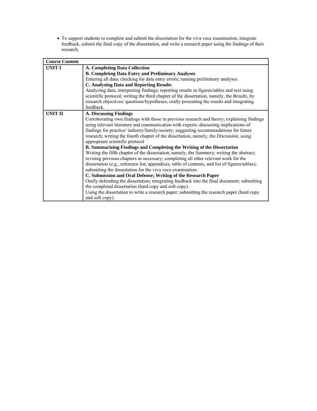• To support students to complete and submit the dissertation for the viva voce examination, integrate feedback, submit the final copy of the dissertation, and write a research paper using the findings of their research.

| <b>Course Content</b> |                                                                                                                                                                                                                                                                                                                                                                                                                                                                                                                                                                                                                                                                                                                                                                                                                                                                                                                                                                                                                                                                                                                                                                                                                     |  |  |
|-----------------------|---------------------------------------------------------------------------------------------------------------------------------------------------------------------------------------------------------------------------------------------------------------------------------------------------------------------------------------------------------------------------------------------------------------------------------------------------------------------------------------------------------------------------------------------------------------------------------------------------------------------------------------------------------------------------------------------------------------------------------------------------------------------------------------------------------------------------------------------------------------------------------------------------------------------------------------------------------------------------------------------------------------------------------------------------------------------------------------------------------------------------------------------------------------------------------------------------------------------|--|--|
| <b>UNIT I</b>         | <b>A. Completing Data Collection</b><br><b>B. Completing Data Entry and Preliminary Analyses</b><br>Entering all data; checking for data entry errors; running preliminary analyses.<br><b>C. Analyzing Data and Reporting Results</b><br>Analyzing data; interpreting findings; reporting results in figures/tables and text using<br>scientific protocol; writing the third chapter of the dissertation, namely, the Results, by<br>research objectives/ questions/hypotheses; orally presenting the results and integrating<br>feedback.                                                                                                                                                                                                                                                                                                                                                                                                                                                                                                                                                                                                                                                                         |  |  |
| <b>UNIT II</b>        | A. Discussing Findings<br>Corroborating own findings with those in previous research and theory; explaining findings<br>using relevant literature and communication with experts; discussing implications of<br>findings for practice/industry/family/society; suggesting recommendations for future<br>research; writing the fourth chapter of the dissertation, namely, the <i>Discussion</i> , using<br>appropriate scientific protocol<br>B. Summarizing Findings and Completing the Writing of the Dissertation<br>Writing the fifth chapter of the dissertation, namely, the Summary; writing the abstract;<br>revising previous chapters as necessary; completing all other relevant work for the<br>dissertation (e.g., reference list, appendices, table of contents, and list of figures/tables);<br>submitting the dissertation for the viva voce examination.<br>C. Submission and Oral Defense; Writing of the Research Paper<br>Orally defending the dissertation; integrating feedback into the final document; submitting<br>the completed dissertation (hard copy and soft copy).<br>Using the dissertation to write a research paper; submitting the research paper (hard copy<br>and soft copy). |  |  |